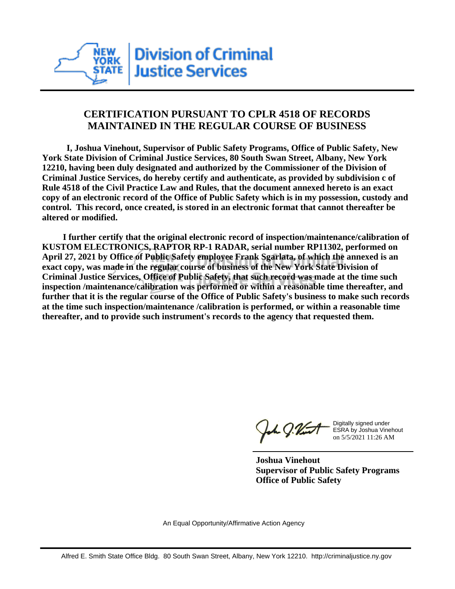

## **CERTIFICATION PURSUANT TO CPLR 4518 OF RECORDS MAINTAINED IN THE REGULAR COURSE OF BUSINESS**

 **I, Joshua Vinehout, Supervisor of Public Safety Programs, Office of Public Safety, New York State Division of Criminal Justice Services, 80 South Swan Street, Albany, New York 12210, having been duly designated and authorized by the Commissioner of the Division of Criminal Justice Services, do hereby certify and authenticate, as provided by subdivision c of Rule 4518 of the Civil Practice Law and Rules, that the document annexed hereto is an exact copy of an electronic record of the Office of Public Safety which is in my possession, custody and control. This record, once created, is stored in an electronic format that cannot thereafter be altered or modified.**

 **I further certify that the original electronic record of inspection/maintenance/calibration of KUSTOM ELECTRONICS, RAPTOR RP-1 RADAR, serial number RP11302, performed on April 27, 2021 by Office of Public Safety employee Frank Sgarlata, of which the annexed is an exact copy, was made in the regular course of business of the New York State Division of Criminal Justice Services, Office of Public Safety, that such record was made at the time such inspection /maintenance/calibration was performed or within a reasonable time thereafter, and further that it is the regular course of the Office of Public Safety's business to make such records at the time such inspection/maintenance /calibration is performed, or within a reasonable time thereafter, and to provide such instrument's records to the agency that requested them.**

the g. Vint

Digitally signed under ESRA by Joshua Vinehout on 5/5/2021 11:26 AM

**Joshua Vinehout Supervisor of Public Safety Programs Office of Public Safety**

An Equal Opportunity/Affirmative Action Agency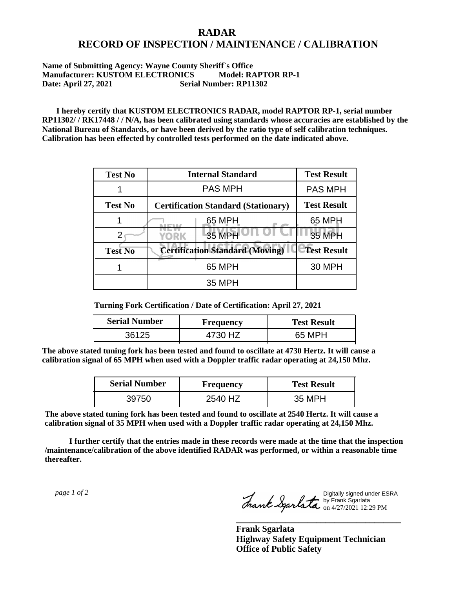## **RADAR RECORD OF INSPECTION / MAINTENANCE / CALIBRATION**

## **Name of Submitting Agency: Wayne County Sheriff`s Office Manufacturer: KUSTOM ELECTRONICS Model: RAPTOR RP-1 Date: April 27, 2021 Serial Number: RP11302**

 **I hereby certify that KUSTOM ELECTRONICS RADAR, model RAPTOR RP-1, serial number RP11302/ / RK17448 / / N/A, has been calibrated using standards whose accuracies are established by the National Bureau of Standards, or have been derived by the ratio type of self calibration techniques. Calibration has been effected by controlled tests performed on the date indicated above.**

| <b>Test No</b> | <b>Internal Standard</b>                   | <b>Test Result</b> |
|----------------|--------------------------------------------|--------------------|
|                | <b>PAS MPH</b>                             | <b>PAS MPH</b>     |
| <b>Test No</b> | <b>Certification Standard (Stationary)</b> | <b>Test Result</b> |
|                | 65 MPH                                     | 65 MPH             |
|                | 35 MPH<br>YORK                             | 35 MPH             |
| <b>Test No</b> | <b>Certification Standard (Moving)</b>     | <b>Test Result</b> |
|                | 65 MPH                                     | <b>30 MPH</b>      |
|                | 35 MPH                                     |                    |

**Turning Fork Certification / Date of Certification: April 27, 2021**

| <b>Serial Number</b> | Frequency | <b>Test Result</b> |
|----------------------|-----------|--------------------|
| 36125                | H7        | 65 MPH             |

**The above stated tuning fork has been tested and found to oscillate at 4730 Hertz. It will cause a calibration signal of 65 MPH when used with a Doppler traffic radar operating at 24,150 Mhz.**

| <b>Serial Number</b> | <b>Frequency</b> | <b>Test Result</b> |
|----------------------|------------------|--------------------|
| 39750                | 2540 HZ          | 35 MPH             |

**The above stated tuning fork has been tested and found to oscillate at 2540 Hertz. It will cause a calibration signal of 35 MPH when used with a Doppler traffic radar operating at 24,150 Mhz.**

 **I further certify that the entries made in these records were made at the time that the inspection /maintenance/calibration of the above identified RADAR was performed, or within a reasonable time thereafter.**

 *page 1 of 2* 

Digitally signed under ESRA by Frank Sgarlata on 4/27/2021 12:29 PM

**\_\_\_\_\_\_\_\_\_\_\_\_\_\_\_\_\_\_\_\_\_\_\_\_\_\_\_\_\_\_\_\_\_\_\_\_\_**

**Frank Sgarlata Highway Safety Equipment Technician Office of Public Safety**